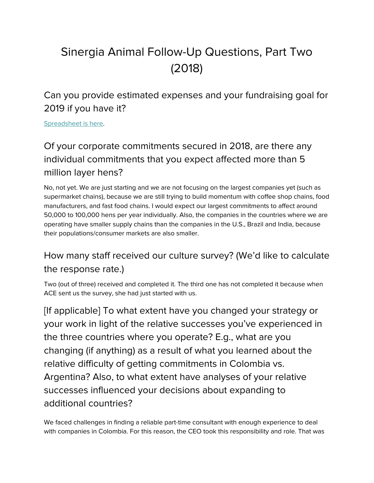# Sinergia Animal Follow-Up Questions, Part Two (2018)

Can you provide estimated expenses and your fundraising goal for 2019 if you have it?

[Spreadsheet](https://drive.google.com/open?id=1O9AokONbeqL0A8IZKsJ7gPNMntZXYHOM) is here.

## Of your corporate commitments secured in 2018, are there any individual commitments that you expect affected more than 5 million layer hens?

No, not yet. We are just starting and we are not focusing on the largest companies yet (such as supermarket chains), because we are still trying to build momentum with coffee shop chains, food manufacturers, and fast food chains. I would expect our largest commitments to affect around 50,000 to 100,000 hens per year individually. Also, the companies in the countries where we are operating have smaller supply chains than the companies in the U.S., Brazil and India, because their populations/consumer markets are also smaller.

#### How many staff received our culture survey? (We'd like to calculate the response rate.)

Two (out of three) received and completed it. The third one has not completed it because when ACE sent us the survey, she had just started with us.

[If applicable] To what extent have you changed your strategy or your work in light of the relative successes you've experienced in the three countries where you operate? E.g., what are you changing (if anything) as a result of what you learned about the relative difficulty of getting commitments in Colombia vs. Argentina? Also, to what extent have analyses of your relative successes influenced your decisions about expanding to additional countries?

We faced challenges in finding a reliable part-time consultant with enough experience to deal with companies in Colombia. For this reason, the CEO took this responsibility and role. That was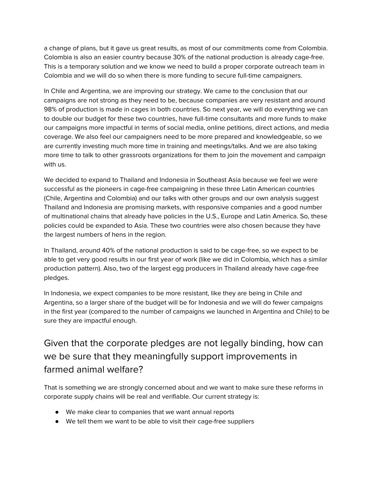a change of plans, but it gave us great results, as most of our commitments come from Colombia. Colombia is also an easier country because 30% of the national production is already cage-free. This is a temporary solution and we know we need to build a proper corporate outreach team in Colombia and we will do so when there is more funding to secure full-time campaigners.

In Chile and Argentina, we are improving our strategy. We came to the conclusion that our campaigns are not strong as they need to be, because companies are very resistant and around 98% of production is made in cages in both countries. So next year, we will do everything we can to double our budget for these two countries, have full-time consultants and more funds to make our campaigns more impactful in terms of social media, online petitions, direct actions, and media coverage. We also feel our campaigners need to be more prepared and knowledgeable, so we are currently investing much more time in training and meetings/talks. And we are also taking more time to talk to other grassroots organizations for them to join the movement and campaign with us.

We decided to expand to Thailand and Indonesia in Southeast Asia because we feel we were successful as the pioneers in cage-free campaigning in these three Latin American countries (Chile, Argentina and Colombia) and our talks with other groups and our own analysis suggest Thailand and Indonesia are promising markets, with responsive companies and a good number of multinational chains that already have policies in the U.S., Europe and Latin America. So, these policies could be expanded to Asia. These two countries were also chosen because they have the largest numbers of hens in the region.

In Thailand, around 40% of the national production is said to be cage-free, so we expect to be able to get very good results in our first year of work (like we did in Colombia, which has a similar production pattern). Also, two of the largest egg producers in Thailand already have cage-free pledges.

In Indonesia, we expect companies to be more resistant, like they are being in Chile and Argentina, so a larger share of the budget will be for Indonesia and we will do fewer campaigns in the first year (compared to the number of campaigns we launched in Argentina and Chile) to be sure they are impactful enough.

#### Given that the corporate pledges are not legally binding, how can we be sure that they meaningfully support improvements in farmed animal welfare?

That is something we are strongly concerned about and we want to make sure these reforms in corporate supply chains will be real and verifiable. Our current strategy is:

- We make clear to companies that we want annual reports
- We tell them we want to be able to visit their cage-free suppliers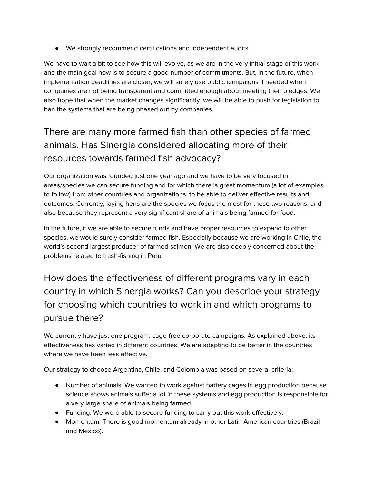● We strongly recommend certifications and independent audits

We have to wait a bit to see how this will evolve, as we are in the very initial stage of this work and the main goal now is to secure a good number of commitments. But, in the future, when implementation deadlines are closer, we will surely use public campaigns if needed when companies are not being transparent and committed enough about meeting their pledges. We also hope that when the market changes significantly, we will be able to push for legislation to ban the systems that are being phased out by companies.

### There are many more farmed fish than other species of farmed animals. Has Sinergia considered allocating more of their resources towards farmed fish advocacy?

Our organization was founded just one year ago and we have to be very focused in areas/species we can secure funding and for which there is great momentum (a lot of examples to follow) from other countries and organizations, to be able to deliver effective results and outcomes. Currently, laying hens are the species we focus the most for these two reasons, and also because they represent a very significant share of animals being farmed for food.

In the future, if we are able to secure funds and have proper resources to expand to other species, we would surely consider farmed fish. Especially because we are working in Chile, the world's second largest producer of farmed salmon. We are also deeply concerned about the problems related to trash-fishing in Peru.

How does the effectiveness of different programs vary in each country in which Sinergia works? Can you describe your strategy for choosing which countries to work in and which programs to pursue there?

We currently have just one program: cage-free corporate campaigns. As explained above, its effectiveness has varied in different countries. We are adapting to be better in the countries where we have been less effective.

Our strategy to choose Argentina, Chile, and Colombia was based on several criteria:

- Number of animals: We wanted to work against battery cages in egg production because science shows animals suffer a lot in these systems and egg production is responsible for a very large share of animals being farmed.
- Funding: We were able to secure funding to carry out this work effectively.
- Momentum: There is good momentum already in other Latin American countries (Brazil and Mexico).